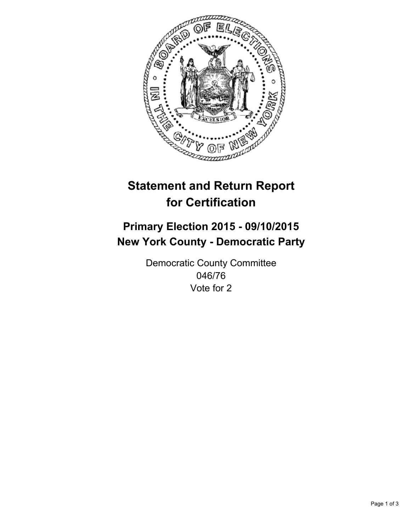

# **Statement and Return Report for Certification**

## **Primary Election 2015 - 09/10/2015 New York County - Democratic Party**

Democratic County Committee 046/76 Vote for 2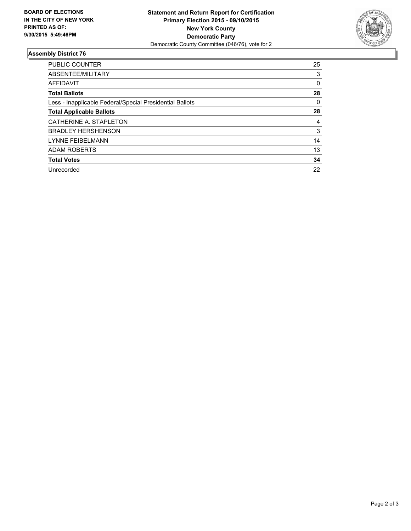

### **Assembly District 76**

| <b>PUBLIC COUNTER</b>                                    | 25 |
|----------------------------------------------------------|----|
| ABSENTEE/MILITARY                                        | 3  |
| <b>AFFIDAVIT</b>                                         | 0  |
| <b>Total Ballots</b>                                     | 28 |
| Less - Inapplicable Federal/Special Presidential Ballots | 0  |
| <b>Total Applicable Ballots</b>                          | 28 |
| CATHERINE A. STAPLETON                                   | 4  |
| <b>BRADLEY HERSHENSON</b>                                | 3  |
| <b>LYNNE FEIBELMANN</b>                                  | 14 |
| <b>ADAM ROBERTS</b>                                      | 13 |
| <b>Total Votes</b>                                       | 34 |
| Unrecorded                                               | 22 |